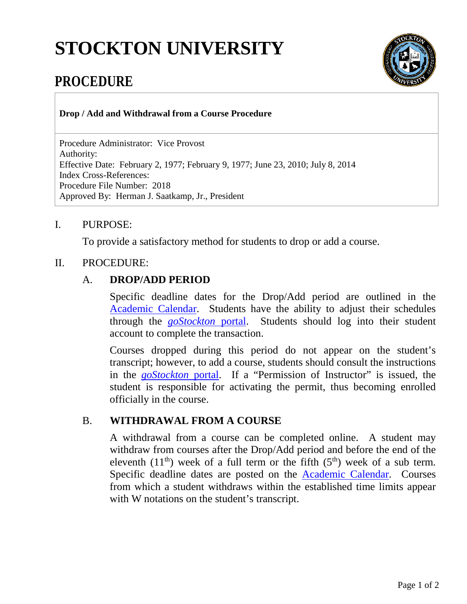# **STOCKTON UNIVERSITY**



## **PROCEDURE**

**Drop / Add and Withdrawal from a Course Procedure**

Procedure Administrator: Vice Provost Authority: Effective Date: February 2, 1977; February 9, 1977; June 23, 2010; July 8, 2014 Index Cross-References: Procedure File Number: 2018 Approved By: Herman J. Saatkamp, Jr., President

#### I. PURPOSE:

To provide a satisfactory method for students to drop or add a course.

#### II. PROCEDURE:

#### A. **DROP/ADD PERIOD**

Specific deadline dates for the Drop/Add period are outlined in the [Academic Calendar.](http://intraweb.stockton.edu/eyos/page.cfm?siteID=30&pageID=1) Students have the ability to adjust their schedules through the *[goStockton](https://go.stockton.edu/)* portal. Students should log into their student account to complete the transaction.

Courses dropped during this period do not appear on the student's transcript; however, to add a course, students should consult the instructions in the *[goStockton](https://go.stockton.edu/)* portal. If a "Permission of Instructor" is issued, the student is responsible for activating the permit, thus becoming enrolled officially in the course.

### B. **WITHDRAWAL FROM A COURSE**

A withdrawal from a course can be completed online. A student may withdraw from courses after the Drop/Add period and before the end of the eleventh (11<sup>th</sup>) week of a full term or the fifth (5<sup>th</sup>) week of a sub term. Specific deadline dates are posted on the [Academic Calendar.](http://intraweb.stockton.edu/eyos/page.cfm?siteID=30&pageID=1) Courses from which a student withdraws within the established time limits appear with W notations on the student's transcript.